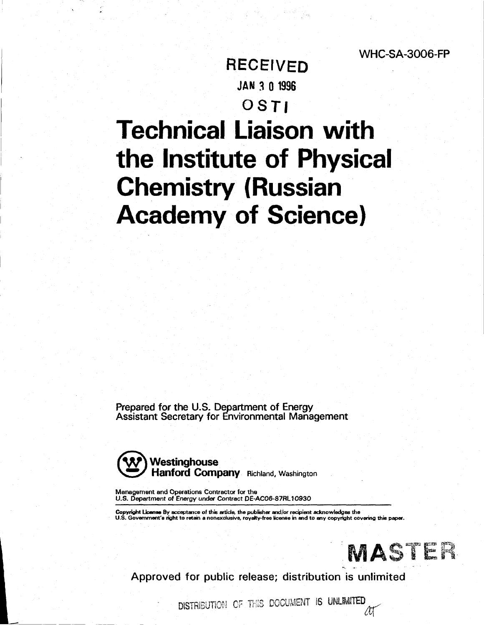# RECEIVED **JAN 3 0 1996**  OSTI

# **Technical Liaison with the Institute of Physical Chemistry (Russian Academy of Science)**

Prepared for the U.S. Department of Energy Assistant Secretary for Environmental Management



**Management and Operations Contractor for the U.S. Department of Energy under Contract DE-AC06-87RL10930** 

Copyright License By acceptance of this article, the publisher and/or recipient acknowledges the<br>U.S. Government's right to retain a nonexclusive, royalty-free license in and to any copyright covering this paper.



Approved for public release; distribution is unlimited

DISTRIBUTION OF THIS DOCUMENT IS UNLIMITED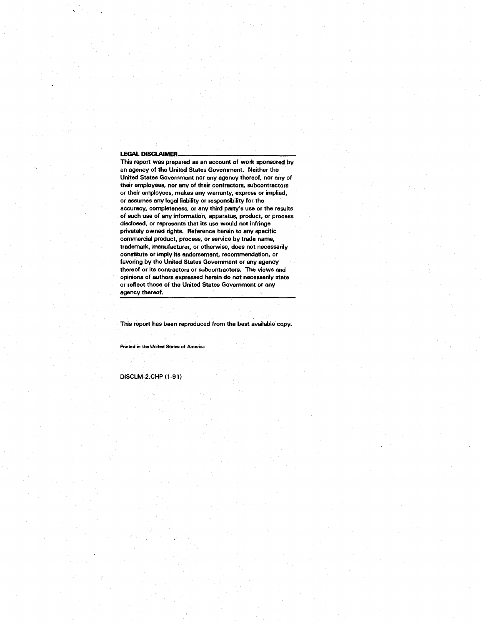#### **LEGAL DISCLAIMER.**

This report was prepared as an account of work sponsored by an agency of the United States Government. Neither the United States Government nor any agency thereof, nor any of their employees, nor any of their contractors, subcontractors or their employees, makes any warranty, express or implied, or assumes any legal liability or responsibility for the accuracy, completeness, or any third party's use or the results of such use of any information, apparatus, product, or process disclosed, or represents that its use would not infringe privately owned rights. Reference herein to any specific commercial product, process, or service by trade name, trademark, manufacturer, or otherwise, does not necessarily constitute or imply its endorsement, recommendation, or favoring by the United States Government or any agency thereof or its contractors or subcontractors. The views and opinions of authors expressed herein do not necessarily state or reflect those of the United States Government or any agency thereof.

This report has been reproduced from the best available copy.

**Printed in the United States of America** 

DiSCLM-2.CHP(1-91)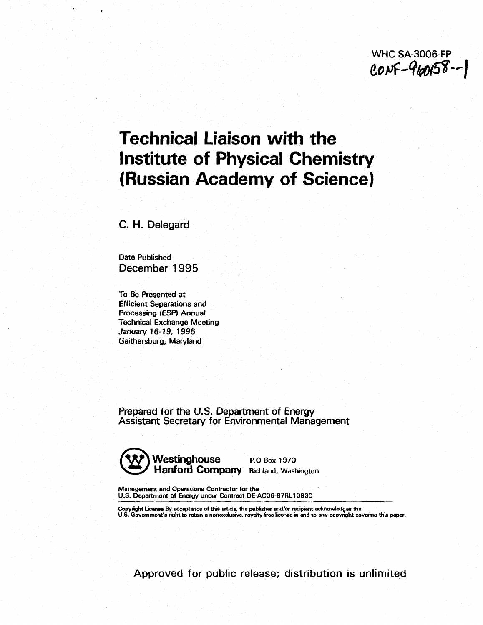WHC-SA-3006-FP<br>CONF-960158--

# **Technical Liaison with the Institute of Physical Chemistry (Russian Academy of Science)**

C. H. Delegard

Date Published December 1995

To Be Presented at Efficient Separations and Processing (ESP) Annual Technical Exchange Meeting January 16-19, 1996 Gaithersburg, Maryland

Prepared for the U.S. Department of Energy Assistant Secretary for Environmental Management



**Management and Operations Contractor for the U.S. Department of Energy under Contract DE-AC06-87RL10930** 

**Copyright License By acceptance of this article, the publisher and/or recipient acknowledges the U.S. Government's right to retain a nonexclusive, royalty-free license in and to any copyright covering this paper.** 

Approved for public release; distribution is unlimited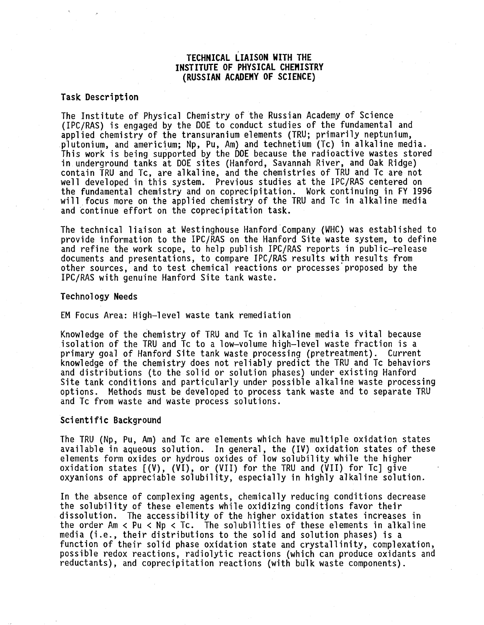# **TECHNICAL LIAISON WITH THE INSTITUTE OF PHYSICAL CHEMISTRY (RUSSIAN ACADEMY OF SCIENCE)**

#### **Task Description**

The Institute of Physical Chemistry of the Russian Academy of Science (IPC/RAS) is engaged by the DOE to conduct studies of the fundamental and applied chemistry of the transuranium elements (TRU; primarily neptunium, Plutonium, and americium; Np, Pu, Am) and technetium (Tc) in alkaline media. This work is being supported by the DOE because the radioactive wastes stored in underground tanks at DOE sites (Hanford, Savannah River, and Oak Ridge) contain TRU and Tc, are alkaline, and the chemistries of TRU and Tc are not well developed in this system. Previous studies at the IPC/RAS centered on the fundamental chemistry and on coprecipitation. Work continuing in FY 1996 will focus more on the applied chemistry of the TRU and Tc in alkaline media and continue effort on the coprecipitation task.

The technical liaison at Westinghouse Hanford Company (WHC) was established to provide information to the IPC/RAS on the Hanford Site waste system, to define and refine the work scope, to help publish IPC/RAS reports in public-release documents and presentations, to compare IPC/RAS results with results from other sources, and to test chemical reactions or processes'proposed by the IPC/RAS with genuine Hanford Site tank waste.

## Technology Needs

EM Focus Area: High-level waste tank remediation

Knowledge of the chemistry of TRU and Tc in alkaline media is vital because isolation of the TRU and Tc to a low-volume high-level waste fraction is a primary goal of Hanford Site tank waste processing (pretreatment). Current knowledge of the chemistry does not reliably predict the TRU and Tc behaviors and distributions (to the solid or solution phases) under existing Hanford Site tank conditions and particularly under possible alkaline waste processing options. Methods must be developed to process tank waste and to separate TRU and Tc from waste and waste process solutions.

### Scientific Background

The TRU (Np, Pu, Am) and Tc are elements which have multiple oxidation states available in aqueous solution. In general, the (IV) oxidation states of these elements form oxides or hydrous oxides of low solubility while the higher oxidation states [(V), (VI), or (VII) for the TRU and (VII) for Tc] give oxyanions of appreciable solubility, especially in highly alkaline solution.

In the absence of complexing agents, chemically reducing conditions decrease the solubility of these elements while oxidizing conditions favor their dissolution. The accessibility of the higher oxidation states increases in the order Am  $\langle$  Pu  $\langle$  Np  $\langle$  Tc. The solubilities of these elements in alkaline media (i.e., their distributions to the solid and solution phases) is a function of their solid phase oxidation state and crystallinity, complexation, possible redox reactions, radiolytic reactions (which can produce oxidants and reductants), and coprecipitation reactions (with bulk waste components).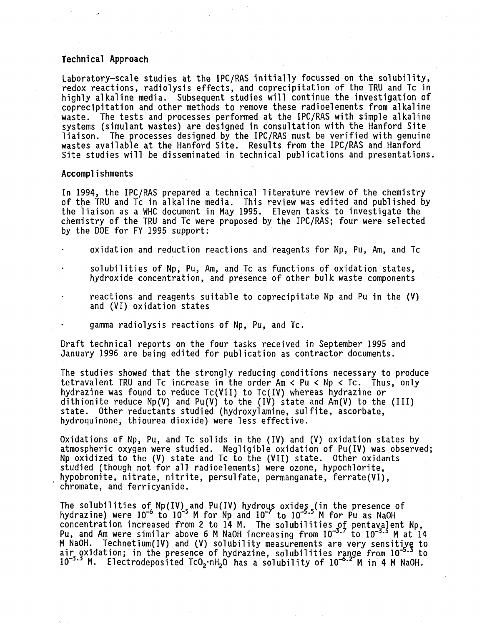### **Technical Approach**

Laboratory-scale studies at the IPC/RAS initially focussed on the solubility, redox reactions, radiolysis effects, and coprecipitation of the TRU and Tc in highly alkaline media. Subsequent studies will continue the investigation of coprecipitation and other methods to remove these radioelements from alkaline waste. The tests and processes performed at the IPC/RAS with simple alkaline systems (simulant wastes) are designed in consultation with the Hanford Site liaison. The processes designed by the IPC/RAS must be verified with genuine wastes available at the Hanford Site. Results from the IPC/RAS and Hanford Site studies will be disseminated in technical publications and presentations.

#### Accomplishments

In 1994, the IPC/RAS prepared a technical literature review of the chemistry of the TRU and Tc in alkaline media. This review was edited and published by the liaison as a WHC document in May 1995. Eleven tasks to investigate the chemistry of the TRU and Tc were proposed by the IPC/RAS; four were selected by the DOE for FY 1995 support:

oxidation and reduction reactions and reagents for Np, Pu, Am, and Tc

- solubilities of Np, Pu, Am, and Tc as functions of oxidation states, hydroxide concentration, and presence of other bulk waste components
- reactions and reagents suitable to coprecipitate Np and Pu in the (V) and (VI) oxidation states
	- gamma radiolysis reactions of Np, Pu, and Tc.

Draft technical reports *on* the four tasks received in September 1995 and January 1996 are being edited for publication as contractor documents.

The studies showed that the strongly reducing conditions necessary to produce tetravalent TRU and Tc increase in the order Am < Pu < Np < Tc. Thus, only hydrazine was found to reduce Tc(VII) to Tc(IV) whereas hydrazine or dithionite reduce Np(V) and Pu(V) to the (IV) state and Am(V) to the (III) state. Other reductants studied (hydroxylamine, sulfite, ascorbate, hydroquinone, thiourea dioxide) were less effective.

Oxidations of Np, Pu, and Tc solids in the (IV) and (V) oxidation states by atmospheric oxygen were studied. Negligible oxidation of Pu(IV) was observed; Np oxidized to the (V) state and Tc to the (VII) state. Other oxidants studied (though not for all radioelements) were ozone, hypochlorite, hypobromite, nitrate, nitrite, persulfate, permanganate, ferrate(VI), chromate, and ferricyanide.

The solubilities of Np(IV) and Pu(IV) hydrous oxides (in the presence of hydrazine) were 10<sup>-o</sup> to 10<sup>-</sup>5 M for Np and 10<sup>-</sup>1 to 10<sup>-515</sup> M for Pu as NaOH concentration increased from 2 to 14 M. The solubilities of pentavalent Np, Pu, and Am were similar above 6 M NaOH increasing from 10~3.' to 10~3.3 M at 14 M NaOH. Technetium(IV) and (V) solubility measurements are very sensitive to air gxidation; in the presence of hydrazine, solubilities range from 10<sup>-3.3</sup> to 10<sup>-3.3</sup> M. Electrodeposited TcO<sub>2</sub>.nH<sub>2</sub>O has a solubility of 10<sup>-0.2</sup> M in 4 M NaOH.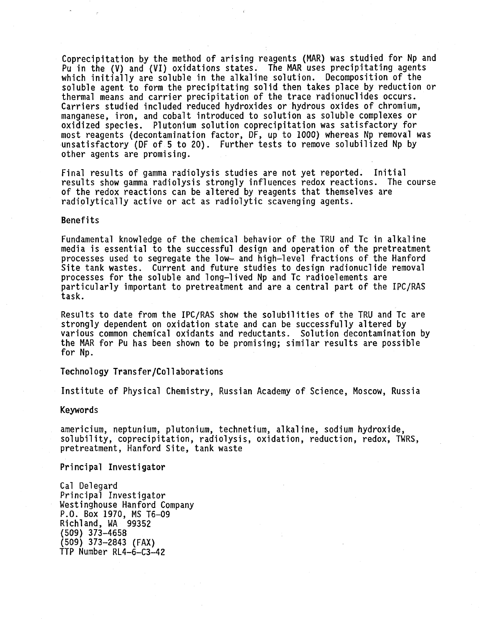Coprecipitation by the method of arising reagents (MAR) was studied for Np and Pu in the (V) and (VI) oxidations states. The MAR uses precipitating agents which initially are soluble in the alkaline solution. Decomposition of the soluble agent to form the precipitating solid then takes place by reduction or thermal means and carrier precipitation of the trace radionuclides occurs. Carriers studied included reduced hydroxides or hydrous oxides of chromium, manganese, iron, and cobalt introduced to solution as soluble complexes or oxidized species. Plutonium solution coprecipitation was satisfactory for most reagents (decontamination factor, DF, up to 1000) whereas Np removal was unsatisfactory (DF of 5 to 20). Further tests to remove solubilized Np by other agents are promising.

Final results of gamma radiolysis studies are not yet reported. Initial results show gamma radiolysis strongly influences redox reactions. The course of the redox reactions can be altered by reagents that themselves are radiplytically active or act as radiolytic scavenging agents.

#### Benefits

Fundamental knowledge of the chemical behavior of the TRU and Tc in alkaline media is essential to the successful design and operation of the pretreatment processes used to segregate the low- and high-level fractions of the Hanford Site tank wastes. Current and future studies to design radionuclide removal processes for the soluble and long-lived Np and Tc radioelements are particularly important to pretreatment and are a central part of the IPC/RAS task.

Results to date from the IPC/RAS show the solubilities of the TRU and Tc are strongly dependent on oxidation state and can be successfully altered by various common chemical oxidants and reductants. Solution decontamination by the MAR for Pu has been shown to be promising; similar results are possible for Np.

Technology Transfer/Collaborations

Institute of Physical Chemistry, Russian Academy of Science, Moscow, Russia

#### Keywords

americium, neptunium, plutonium, technetium, alkaline, sodium hydroxide, solubility, coprecipitation, radiolysis, oxidation, reduction, redox, TWRS, pretreatment, Hanford Site, tank waste

Principal Investigator

Cal Delegard Principal Investigator Westinghouse Hanford Company P.O. Box 1970, MS T6-09 Richland, WA 99352 (509) 373-4658 (509) 373-2843 (FAX) TTP Number RL4-6-C3-42